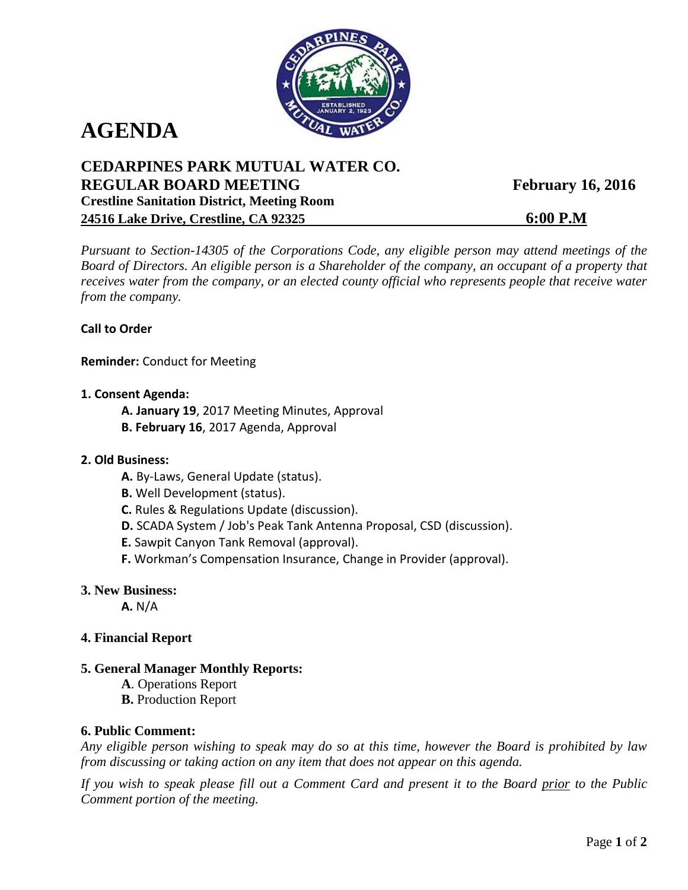

# **AGENDA**

## **CEDARPINES PARK MUTUAL WATER CO. REGULAR BOARD MEETING February 16, 2016 Crestline Sanitation District, Meeting Room 24516 Lake Drive, Crestline, CA 92325 6:00 P.M**

*Pursuant to Section-14305 of the Corporations Code, any eligible person may attend meetings of the Board of Directors. An eligible person is a Shareholder of the company, an occupant of a property that receives water from the company, or an elected county official who represents people that receive water from the company.*

### **Call to Order**

**Reminder:** Conduct for Meeting

- **1. Consent Agenda:**
	- **A. January 19**, 2017 Meeting Minutes, Approval
	- **B. February 16**, 2017 Agenda, Approval

#### **2. Old Business:**

- **A.** By-Laws, General Update (status).
- **B.** Well Development (status).
- **C.** Rules & Regulations Update (discussion).
- **D.** SCADA System / Job's Peak Tank Antenna Proposal, CSD (discussion).
- **E.** Sawpit Canyon Tank Removal (approval).
- **F.** Workman's Compensation Insurance, Change in Provider (approval).
- **3. New Business:**

**A.** N/A

- **4. Financial Report**
- **5. General Manager Monthly Reports:**
	- **A**. Operations Report
	- **B.** Production Report

### **6. Public Comment:**

*Any eligible person wishing to speak may do so at this time, however the Board is prohibited by law from discussing or taking action on any item that does not appear on this agenda.* 

*If you wish to speak please fill out a Comment Card and present it to the Board prior to the Public Comment portion of the meeting.*